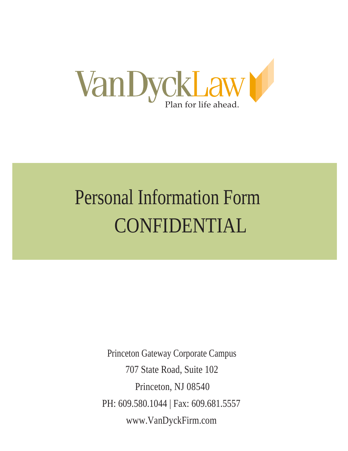

# Personal Information Form CONFIDENTIAL

Princeton Gateway Corporate Campus 707 State Road, Suite 102 Princeton, NJ 08540 PH: 609.580.1044 | Fax: 609.681.5557 www.VanDyckFirm.com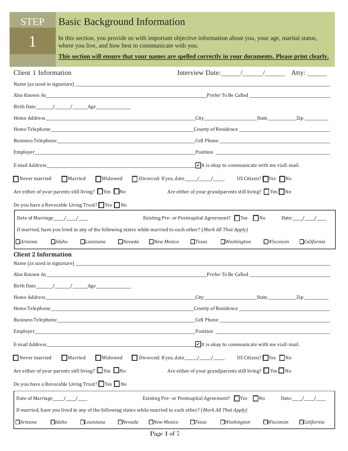# Basic Background Information

**STEP** 

1

In this section, you provide us with important objective information about you, your age, marital status, where you live, and how best to communicate with you.

**This section will ensure that your names are spelled correctly in your documents. Please print clearly.**

| Client 1 Information                                                                                         |                                                              |              |                          | Interview Date: $\angle$ $\angle$ $\angle$ Atty:                   |                                                                                                                                                                                                                                |
|--------------------------------------------------------------------------------------------------------------|--------------------------------------------------------------|--------------|--------------------------|--------------------------------------------------------------------|--------------------------------------------------------------------------------------------------------------------------------------------------------------------------------------------------------------------------------|
|                                                                                                              |                                                              |              |                          |                                                                    |                                                                                                                                                                                                                                |
|                                                                                                              |                                                              |              |                          |                                                                    |                                                                                                                                                                                                                                |
|                                                                                                              |                                                              |              |                          |                                                                    |                                                                                                                                                                                                                                |
|                                                                                                              |                                                              |              |                          |                                                                    |                                                                                                                                                                                                                                |
|                                                                                                              |                                                              |              |                          |                                                                    |                                                                                                                                                                                                                                |
|                                                                                                              |                                                              |              |                          |                                                                    |                                                                                                                                                                                                                                |
|                                                                                                              |                                                              |              |                          |                                                                    |                                                                                                                                                                                                                                |
|                                                                                                              |                                                              |              |                          | $\sqrt{\phantom{a}}$ It is okay to communicate with me via E-mail. |                                                                                                                                                                                                                                |
| Never married Married Widowed                                                                                |                                                              |              |                          | US Citizen? $\Box$ Yes $\Box$ No                                   |                                                                                                                                                                                                                                |
| Are either of your parents still living? $\Box$ Yes $\Box$ No                                                |                                                              |              |                          | Are either of your grandparents still living? $\Box$ Yes $\Box$ No |                                                                                                                                                                                                                                |
| Do you have a Revocable Living Trust? $\Box$ Yes $\Box$ No                                                   |                                                              |              |                          |                                                                    |                                                                                                                                                                                                                                |
|                                                                                                              | Existing Pre- or Postnuptial Agreement? $\Box$ Yes $\Box$ No |              |                          |                                                                    | Date: $\_\_\_\_\_\_\_\_\_\_\_\_\_\_\_\_\_\_\_\_\_\_\_\_\_\_\_$                                                                                                                                                                 |
| If married, have you lived in any of the following states while married to each other? (Mark All That Apply) |                                                              |              |                          |                                                                    |                                                                                                                                                                                                                                |
| $\Box$ Arizona<br>$\Box$ Idaho<br>$\Box$ Louisiana<br>$\Box$ Nevada                                          | $\Box$ New Mexico                                            | $\Box$ Texas | $\Box$ <i>Washington</i> | $\Box$ <i>Wisconsin</i>                                            | $\Box$ California                                                                                                                                                                                                              |
| <b>Client 2 Information</b>                                                                                  |                                                              |              |                          |                                                                    |                                                                                                                                                                                                                                |
|                                                                                                              |                                                              |              |                          |                                                                    |                                                                                                                                                                                                                                |
|                                                                                                              |                                                              |              |                          |                                                                    |                                                                                                                                                                                                                                |
|                                                                                                              |                                                              |              |                          |                                                                    |                                                                                                                                                                                                                                |
|                                                                                                              |                                                              |              |                          |                                                                    |                                                                                                                                                                                                                                |
|                                                                                                              |                                                              |              |                          |                                                                    |                                                                                                                                                                                                                                |
| Business Telephone___________                                                                                |                                                              | Cell Phone   |                          |                                                                    |                                                                                                                                                                                                                                |
|                                                                                                              |                                                              |              |                          |                                                                    | Position and the contract of the contract of the contract of the contract of the contract of the contract of the contract of the contract of the contract of the contract of the contract of the contract of the contract of t |
|                                                                                                              |                                                              |              |                          | $\triangleright$ It is okay to communicate with me via E-mail.     |                                                                                                                                                                                                                                |
| Widowed<br>$\Box$ Never married<br>$\Box$ Married                                                            | Divorced: If yes, date $\frac{\sqrt{2}}{2}$                  |              |                          | US Citizen? $\Box$ Yes $\Box$ No                                   |                                                                                                                                                                                                                                |
| Are either of your parents still living? $\Box$ Yes $\Box$ No                                                |                                                              |              |                          | Are either of your grandparents still living? Tes No               |                                                                                                                                                                                                                                |
| Do you have a Revocable Living Trust? $\Box$ Yes $\Box$ No                                                   |                                                              |              |                          |                                                                    |                                                                                                                                                                                                                                |
|                                                                                                              | Existing Pre- or Postnuptial Agreement? ■ Yes ■ No           |              |                          |                                                                    | Date: $/$ /                                                                                                                                                                                                                    |
| If married, have you lived in any of the following states while married to each other? (Mark All That Apply) |                                                              |              |                          |                                                                    |                                                                                                                                                                                                                                |
| $\Box$ Idaho<br><b>Arizona</b><br>Louisiana<br>$\Box$ Nevada                                                 | $T$ exas<br>$\Box$ New Mexico                                |              | $\Box$ <i>Washington</i> | $\Box$ Wisconsin                                                   | $\Box$ California                                                                                                                                                                                                              |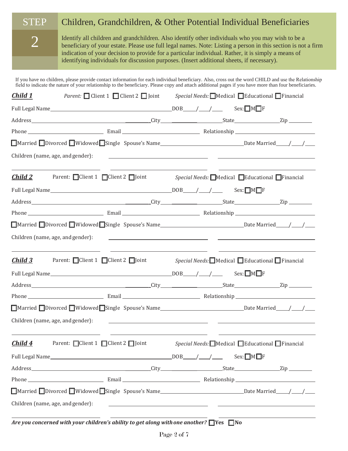### Children, Grandchildren, & Other Potential Individual Beneficiaries **STEP**

2

Identify all children and grandchildren. Also identify other individuals who you may wish to be a beneficiary of your estate. Please use full legal names. Note: Listing a person in this section is not a firm indication of your decision to provide for a particular individual. Rather, it is simply a means of identifying individuals for discussion purposes. (Insert additional sheets, if necessary).

If you have no children, please provide contact information for each individual beneficiary. Also, cross out the word CHILD and use the Relationship field to indicate the nature of your relationship to the beneficiary. Please copy and attach additional pages if you have more than four beneficiaries.

| Child 1                           | <i>Parent:</i> $\Box$ Client 1 $\Box$ Client 2 $\Box$ Joint                                                                                               | $Special$ Needs: Medical Educational Financial                                                                                                                                                                                       |
|-----------------------------------|-----------------------------------------------------------------------------------------------------------------------------------------------------------|--------------------------------------------------------------------------------------------------------------------------------------------------------------------------------------------------------------------------------------|
|                                   | Full Legal Name $\rule{1em}{0.15mm}$ Sex: $\Box M \Box F$                                                                                                 |                                                                                                                                                                                                                                      |
|                                   |                                                                                                                                                           |                                                                                                                                                                                                                                      |
|                                   |                                                                                                                                                           |                                                                                                                                                                                                                                      |
|                                   |                                                                                                                                                           |                                                                                                                                                                                                                                      |
| Children (name, age, and gender): |                                                                                                                                                           | <u> 1989 - Jan Sterlinger, skrivatsk politik († 1908)</u>                                                                                                                                                                            |
| <u>Child 2</u>                    | <u> 1989 - Johann John Stein, mars et al. 1989 - Anna ann an t-Anna ann an t-Anna ann an t-Anna ann an t-Anna ann</u><br>Parent: Client 1 Client 2 DJoint | <u> 1989 - Andrea Stein, Amerikaansk politiker († 1908)</u><br>$Special$ Needs: Medical Educational Financial                                                                                                                        |
|                                   | Full Legal Name $\rule{1em}{0.15mm}$ Sex: $\Box M \Box F$                                                                                                 |                                                                                                                                                                                                                                      |
|                                   |                                                                                                                                                           |                                                                                                                                                                                                                                      |
|                                   |                                                                                                                                                           |                                                                                                                                                                                                                                      |
|                                   |                                                                                                                                                           |                                                                                                                                                                                                                                      |
| Children (name, age, and gender): |                                                                                                                                                           | <u> 1980 - Andrea State Barbara, política establecera en la contrada de la contrada de la contrada de la contrada</u>                                                                                                                |
| <u>Child 3</u>                    | <u> 1989 - Andrea Stadt, fransk politik (d. 1989)</u><br>Parent: $\Box$ Client 1 $\Box$ Client 2 $\Box$ Joint                                             | <i>Special Needs:</i> Medical Beducational Financial                                                                                                                                                                                 |
|                                   |                                                                                                                                                           |                                                                                                                                                                                                                                      |
|                                   |                                                                                                                                                           |                                                                                                                                                                                                                                      |
|                                   |                                                                                                                                                           |                                                                                                                                                                                                                                      |
|                                   |                                                                                                                                                           |                                                                                                                                                                                                                                      |
| Children (name, age, and gender): |                                                                                                                                                           | <u> 1989 - Andrea Barbara, amerikan personal di personal dengan personal di personal dengan personal di personal </u>                                                                                                                |
| Child 4                           | Parent: $\Box$ Client 1 $\Box$ Client 2 $\Box$ Joint                                                                                                      | <i>Special Needs:</i> Medical Educational Financial                                                                                                                                                                                  |
|                                   |                                                                                                                                                           |                                                                                                                                                                                                                                      |
|                                   |                                                                                                                                                           |                                                                                                                                                                                                                                      |
|                                   |                                                                                                                                                           |                                                                                                                                                                                                                                      |
|                                   |                                                                                                                                                           | ■Married Divorced Widowed Single Spouse's Name                                                                                                                                                                                       |
| Children (name, age, and gender): |                                                                                                                                                           | <u> 1999 - Johann Harry Harry Harry Harry Harry Harry Harry Harry Harry Harry Harry Harry Harry Harry Harry Harry Harry Harry Harry Harry Harry Harry Harry Harry Harry Harry Harry Harry Harry Harry Harry Harry Harry Harry Ha</u> |

*Are you concerned with your children's ability to get along withone another?* ⧠ **Yes** ⧠ **No**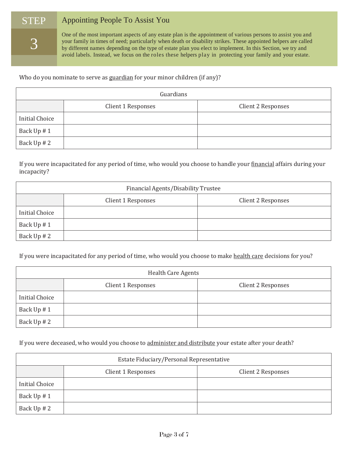### Appointing People To Assist You **STEP**

3

One of the most important aspects of any estate plan is the appointment of various persons to assist you and your family in times of need; particularly when death or disability strikes. These appointed helpers are called by different names depending on the type of estate plan you elect to implement. In this Section, we try and avoid labels. Instead, we focus on the roles these helpers play in protecting your family and your estate.

Who do you nominate to serve as guardian for your minor children (if any)?

| Guardians             |                    |                    |  |  |  |
|-----------------------|--------------------|--------------------|--|--|--|
|                       | Client 1 Responses | Client 2 Responses |  |  |  |
| <b>Initial Choice</b> |                    |                    |  |  |  |
| Back Up # 1           |                    |                    |  |  |  |
| Back Up # 2           |                    |                    |  |  |  |

If you were incapacitated for any period of time, who would you choose to handle your financial affairs during your incapacity?

| Financial Agents/Disability Trustee |                    |                    |  |  |
|-------------------------------------|--------------------|--------------------|--|--|
|                                     | Client 1 Responses | Client 2 Responses |  |  |
| <b>Initial Choice</b>               |                    |                    |  |  |
| Back Up #1                          |                    |                    |  |  |
| Back Up # 2                         |                    |                    |  |  |

If you were incapacitated for any period of time, who would you choose to make health care decisions for you?

| <b>Health Care Agents</b> |                    |                    |  |  |  |
|---------------------------|--------------------|--------------------|--|--|--|
|                           | Client 1 Responses | Client 2 Responses |  |  |  |
| <b>Initial Choice</b>     |                    |                    |  |  |  |
| Back Up #1                |                    |                    |  |  |  |
| Back Up # 2               |                    |                    |  |  |  |

If you were deceased, who would you choose to administer and distribute your estate after your death?

| Estate Fiduciary/Personal Representative |                    |                    |  |  |  |
|------------------------------------------|--------------------|--------------------|--|--|--|
|                                          | Client 1 Responses | Client 2 Responses |  |  |  |
| <b>Initial Choice</b>                    |                    |                    |  |  |  |
| Back Up #1                               |                    |                    |  |  |  |
| Back Up # 2                              |                    |                    |  |  |  |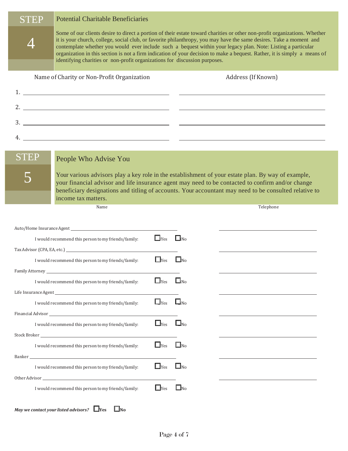| STEP             | <b>Potential Charitable Beneficiaries</b>                                  |            |                       |                                                                                                                                                                                                                                                                                                                                                                                                                                                                                                 |
|------------------|----------------------------------------------------------------------------|------------|-----------------------|-------------------------------------------------------------------------------------------------------------------------------------------------------------------------------------------------------------------------------------------------------------------------------------------------------------------------------------------------------------------------------------------------------------------------------------------------------------------------------------------------|
|                  | identifying charities or non-profit organizations for discussion purposes. |            |                       | Some of our clients desire to direct a portion of their estate toward charities or other non-profit organizations. Whether<br>it is your church, college, social club, or favorite philanthropy, you may have the same desires. Take a moment and<br>contemplate whether you would ever include such a bequest within your legacy plan. Note: Listing a particular<br>organization in this section is not a firm indication of your decision to make a bequest. Rather, it is simply a means of |
|                  | Name of Charity or Non-Profit Organization                                 |            |                       | Address (If Known)                                                                                                                                                                                                                                                                                                                                                                                                                                                                              |
|                  |                                                                            |            |                       |                                                                                                                                                                                                                                                                                                                                                                                                                                                                                                 |
|                  |                                                                            |            |                       |                                                                                                                                                                                                                                                                                                                                                                                                                                                                                                 |
|                  | $\frac{3}{2}$                                                              |            |                       |                                                                                                                                                                                                                                                                                                                                                                                                                                                                                                 |
|                  |                                                                            |            |                       |                                                                                                                                                                                                                                                                                                                                                                                                                                                                                                 |
|                  |                                                                            |            |                       |                                                                                                                                                                                                                                                                                                                                                                                                                                                                                                 |
| <b>STEP</b>      | People Who Advise You                                                      |            |                       |                                                                                                                                                                                                                                                                                                                                                                                                                                                                                                 |
|                  | income tax matters.                                                        |            |                       | Your various advisors play a key role in the establishment of your estate plan. By way of example,<br>your financial advisor and life insurance agent may need to be contacted to confirm and/or change<br>beneficiary designations and titling of accounts. Your accountant may need to be consulted relative to                                                                                                                                                                               |
|                  | Name                                                                       |            |                       | Telephone                                                                                                                                                                                                                                                                                                                                                                                                                                                                                       |
|                  |                                                                            |            |                       |                                                                                                                                                                                                                                                                                                                                                                                                                                                                                                 |
|                  | I would recommend this person to my friends/family:                        | $\Box$ Yes | $\Box$ No             |                                                                                                                                                                                                                                                                                                                                                                                                                                                                                                 |
|                  |                                                                            |            |                       |                                                                                                                                                                                                                                                                                                                                                                                                                                                                                                 |
|                  | I would recommend this person to my friends/family:                        | $\Box$ Yes | $\square_{\rm No}$    |                                                                                                                                                                                                                                                                                                                                                                                                                                                                                                 |
| Family Attorney_ |                                                                            |            |                       |                                                                                                                                                                                                                                                                                                                                                                                                                                                                                                 |
|                  | I would recommend this person to my friends/family:                        | $\Box$ Yes | $\square_{\rm No}$    |                                                                                                                                                                                                                                                                                                                                                                                                                                                                                                 |
|                  | I would recommend this person to my friends/family:                        | $\Box$ Yes | $\square_{\text{No}}$ |                                                                                                                                                                                                                                                                                                                                                                                                                                                                                                 |
|                  |                                                                            |            |                       |                                                                                                                                                                                                                                                                                                                                                                                                                                                                                                 |
|                  | I would recommend this person to my friends/family:                        | $\Box$ Yes | $\square_{\text{No}}$ |                                                                                                                                                                                                                                                                                                                                                                                                                                                                                                 |
|                  |                                                                            |            |                       |                                                                                                                                                                                                                                                                                                                                                                                                                                                                                                 |
|                  | I would recommend this person to my friends/family:                        | $\Box$ Yes | $\square_{\text{No}}$ |                                                                                                                                                                                                                                                                                                                                                                                                                                                                                                 |
|                  |                                                                            |            |                       |                                                                                                                                                                                                                                                                                                                                                                                                                                                                                                 |
|                  | I would recommend this person to my friends/family:                        | $\Box$ Yes | $\square_{\text{No}}$ |                                                                                                                                                                                                                                                                                                                                                                                                                                                                                                 |
|                  | I would recommend this person to my friends/family:                        | $\Box$ Yes | $\Box$ No             |                                                                                                                                                                                                                                                                                                                                                                                                                                                                                                 |

| May we contact your listed advisors? $\square$ Yes |  | $\square_{\text{No}}$ |
|----------------------------------------------------|--|-----------------------|
|----------------------------------------------------|--|-----------------------|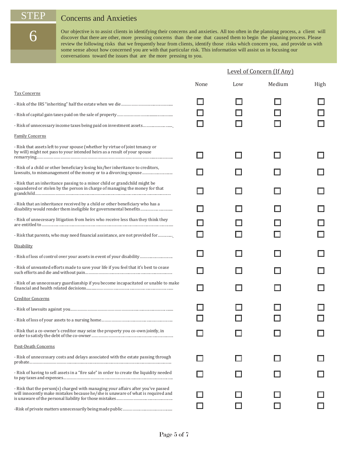6

# STEP Concerns and Anxieties

Our objective is to assist clients in identifying their concerns and anxieties. All too often in the planning process, a client will discover that there are other, more pressing concerns than the one that caused them to begin the planning process. Please review the following risks that we frequently hear from clients, identify those risks which concern you, and provide us with some sense about how concerned you are with that particular risk. This information will assist us in focusing our conversations toward the issues that are the more pressing to you.

|                                                                                                                                                                     |      |     | Level of Concern (If Any) |      |
|---------------------------------------------------------------------------------------------------------------------------------------------------------------------|------|-----|---------------------------|------|
|                                                                                                                                                                     | None | Low | Medium                    | High |
| <b>Tax Concerns</b>                                                                                                                                                 |      |     |                           |      |
|                                                                                                                                                                     |      |     |                           |      |
|                                                                                                                                                                     |      |     |                           |      |
|                                                                                                                                                                     |      |     |                           |      |
| <b>Family Concerns</b>                                                                                                                                              |      |     |                           |      |
| - Risk that assets left to your spouse (whether by virtue of joint tenancy or<br>by will) might not pass to your intended heirs as a result of your spouse          |      |     |                           |      |
| - Risk of a child or other beneficiary losing his/her inheritance to creditors,<br>lawsuits, to mismanagement of the money or to a divorcing spouse                 |      |     |                           |      |
| - Risk that an inheritance passing to a minor child or grandchild might be<br>squandered or stolen by the person in charge of managing the money for that           |      |     |                           |      |
| - Risk that an inheritance received by a child or other beneficiary who has a<br>disability would render them ineligible for governmental benefits                  |      |     |                           |      |
| - Risk of unnecessary litigation from heirs who receive less than they think they                                                                                   |      |     |                           |      |
| - Risk that parents, who may need financial assistance, are not provided for                                                                                        |      |     |                           |      |
| Disability                                                                                                                                                          |      |     |                           |      |
| - Risk of loss of control over your assets in event of your disability                                                                                              |      |     |                           |      |
| - Risk of unwanted efforts made to save your life if you feel that it's best to cease                                                                               |      |     |                           |      |
| - Risk of an unnecessary guardianship if you become incapacitated or unable to make                                                                                 |      |     |                           |      |
| <b>Creditor Concerns</b>                                                                                                                                            |      |     |                           |      |
|                                                                                                                                                                     |      |     |                           |      |
|                                                                                                                                                                     |      |     |                           |      |
| - Risk that a co-owner's creditor may seize the property you co-own jointly, in                                                                                     |      |     |                           |      |
| Post-Death Concerns                                                                                                                                                 |      |     |                           |      |
| - Risk of unnecessary costs and delays associated with the estate passing through                                                                                   |      |     |                           |      |
| - Risk of having to sell assets in a "fire sale" in order to create the liquidity needed                                                                            |      |     |                           |      |
| - Risk that the person(s) charged with managing your affairs after you've passed<br>will innocently make mistakes because he/she is unaware of what is required and |      |     |                           |      |
|                                                                                                                                                                     |      |     |                           |      |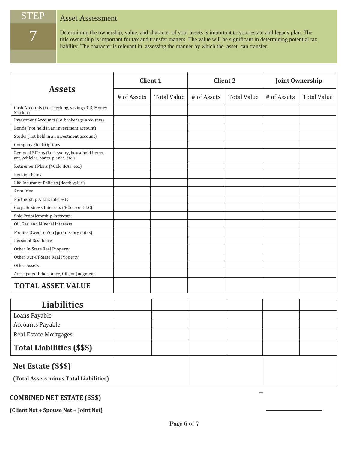## STEP Asset Assessment

7

Determining the ownership, value, and character of your assets is important to your estate and legacy plan. The title ownership is important for tax and transfer matters. The value will be significant in determining potential tax liability. The character is relevant in assessing the manner by which the asset can transfer.

|                                                                                         |             | <b>Client 1</b>    | <b>Client 2</b> |                    | <b>Joint Ownership</b> |                    |
|-----------------------------------------------------------------------------------------|-------------|--------------------|-----------------|--------------------|------------------------|--------------------|
| <b>Assets</b>                                                                           | # of Assets | <b>Total Value</b> | # of Assets     | <b>Total Value</b> | # of Assets            | <b>Total Value</b> |
| Cash Accounts (i.e. checking, savings, CD, Money<br>Market)                             |             |                    |                 |                    |                        |                    |
| Investment Accounts (i.e. brokerage accounts)                                           |             |                    |                 |                    |                        |                    |
| Bonds (not held in an investment account)                                               |             |                    |                 |                    |                        |                    |
| Stocks (not held in an investment account)                                              |             |                    |                 |                    |                        |                    |
| <b>Company Stock Options</b>                                                            |             |                    |                 |                    |                        |                    |
| Personal Effects (i.e. jewelry, household items,<br>art, vehicles, boats, planes, etc.) |             |                    |                 |                    |                        |                    |
| Retirement Plans (401k, IRAs, etc.)                                                     |             |                    |                 |                    |                        |                    |
| <b>Pension Plans</b>                                                                    |             |                    |                 |                    |                        |                    |
| Life Insurance Policies (death value)                                                   |             |                    |                 |                    |                        |                    |
| Annuities                                                                               |             |                    |                 |                    |                        |                    |
| Partnership & LLC Interests                                                             |             |                    |                 |                    |                        |                    |
| Corp. Business Interests (S-Corp or LLC)                                                |             |                    |                 |                    |                        |                    |
| Sole Proprietorship Interests                                                           |             |                    |                 |                    |                        |                    |
| Oil, Gas, and Mineral Interests                                                         |             |                    |                 |                    |                        |                    |
| Monies Owed to You (promissory notes)                                                   |             |                    |                 |                    |                        |                    |
| Personal Residence                                                                      |             |                    |                 |                    |                        |                    |
| Other In-State Real Property                                                            |             |                    |                 |                    |                        |                    |
| Other Out-Of-State Real Property                                                        |             |                    |                 |                    |                        |                    |
| Other Assets                                                                            |             |                    |                 |                    |                        |                    |
| Anticipated Inheritance, Gift, or Judgment                                              |             |                    |                 |                    |                        |                    |
| <b>TOTAL ASSET VALUE</b>                                                                |             |                    |                 |                    |                        |                    |
| <b>Liabilities</b>                                                                      |             |                    |                 |                    |                        |                    |
| Loans Payable                                                                           |             |                    |                 |                    |                        |                    |
| <b>Accounts Payable</b>                                                                 |             |                    |                 |                    |                        |                    |
| Real Estate Mortgages                                                                   |             |                    |                 |                    |                        |                    |
| <b>Total Liabilities (\$\$\$)</b>                                                       |             |                    |                 |                    |                        |                    |
| Net Estate (\$\$\$)                                                                     |             |                    |                 |                    |                        |                    |

**(Total Assets minus Total Liabilities)**

# **COMBINED NET ESTATE (\$\$\$)** <sup>=</sup>

**(Client Net + Spouse Net + Joint Net)**